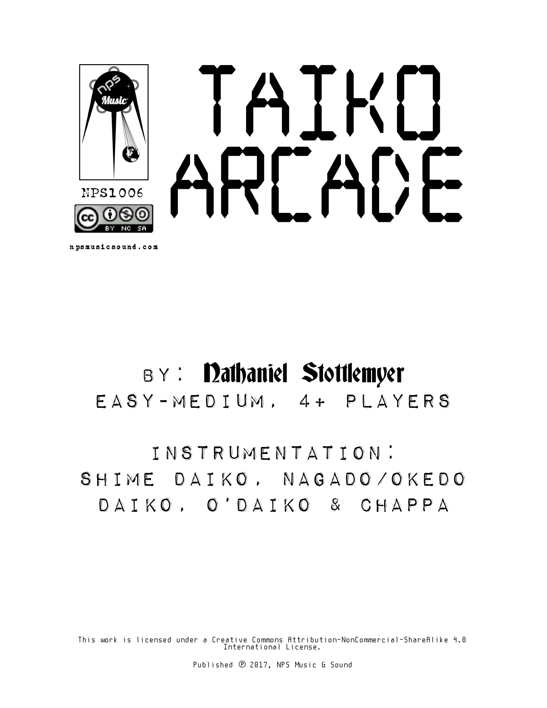

## BY: Dathaniel Stottlemyer

Easy-Medium, 4+ Players

Instrumentation: Shime Daiko, Nagado/Okedo Daiko, O'Daiko & Chappa

This work is licensed under a Creative Commons Attribution-NonCommercial-ShareAlike 4.0 International License.

Published ℗ 2017, NPS Music & Sound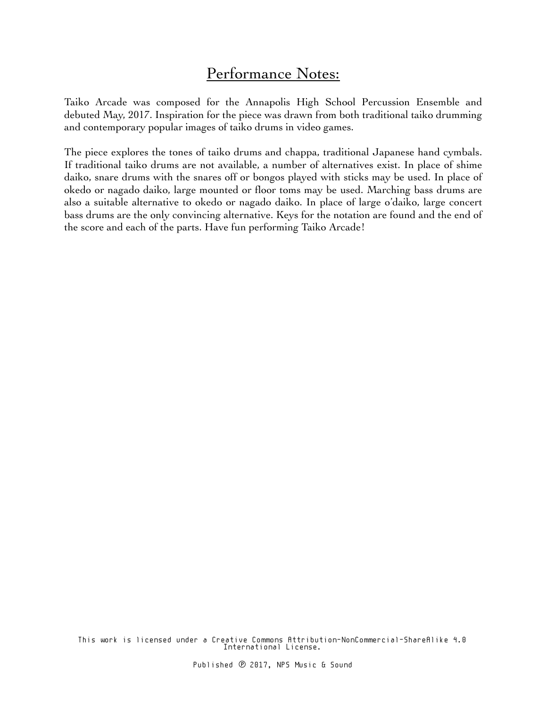## Performance Notes:

Taiko Arcade was composed for the Annapolis High School Percussion Ensemble and debuted May, 2017. Inspiration for the piece was drawn from both traditional taiko drumming and contemporary popular images of taiko drums in video games.

The piece explores the tones of taiko drums and chappa, traditional Japanese hand cymbals. If traditional taiko drums are not available, a number of alternatives exist. In place of shime daiko, snare drums with the snares off or bongos played with sticks may be used. In place of okedo or nagado daiko, large mounted or floor toms may be used. Marching bass drums are also a suitable alternative to okedo or nagado daiko. In place of large o'daiko, large concert bass drums are the only convincing alternative. Keys for the notation are found and the end of the score and each of the parts. Have fun performing Taiko Arcade!

This work is licensed under a Creative Commons Attribution-NonCommercial-ShareAlike 4.0 International License.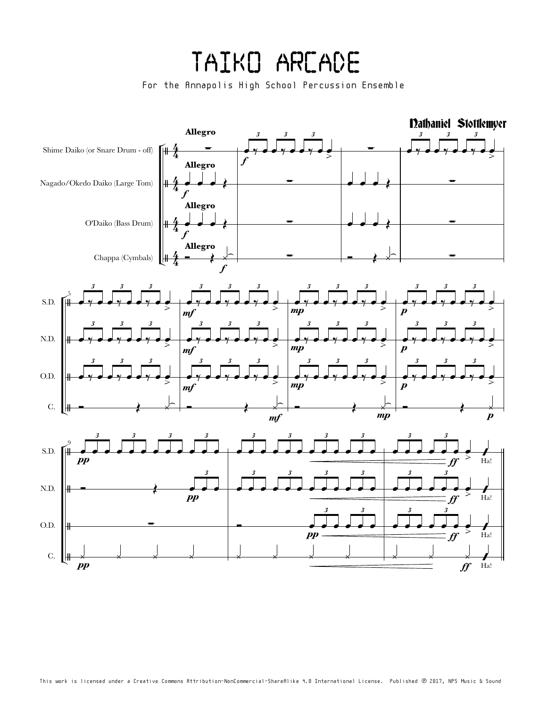## *Taiko Arcade*

For the Annapolis High School Percussion Ensemble

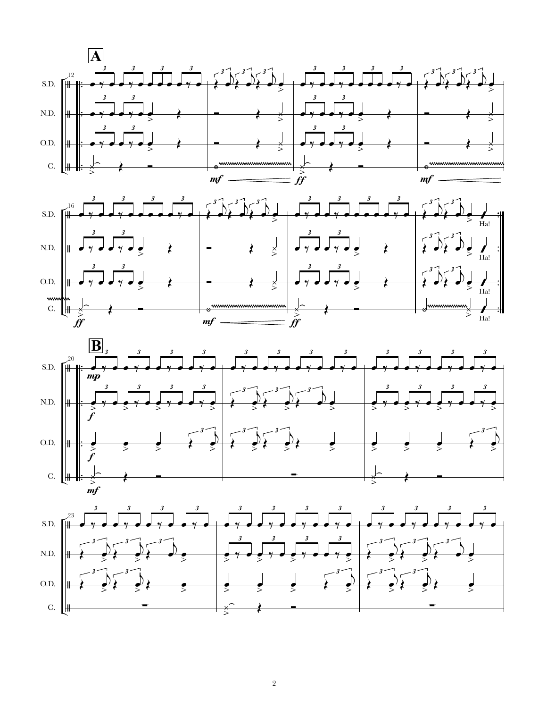





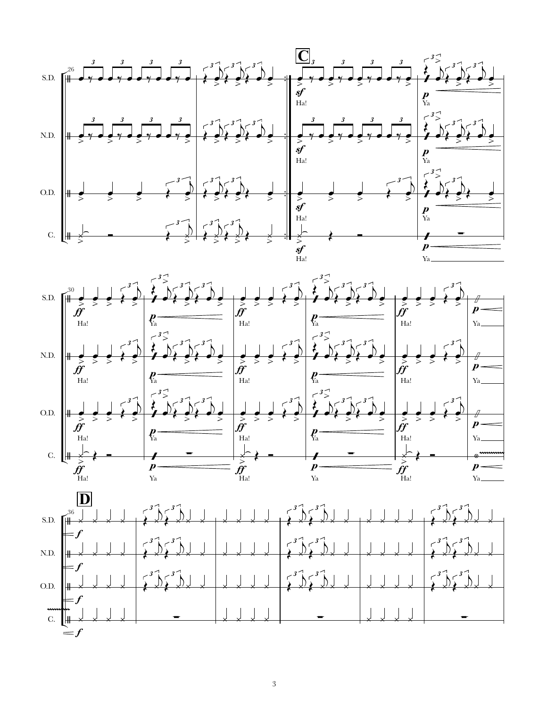



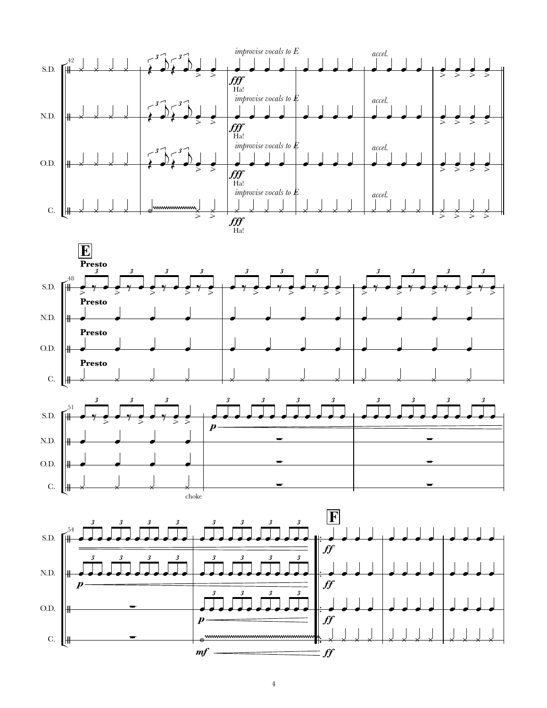



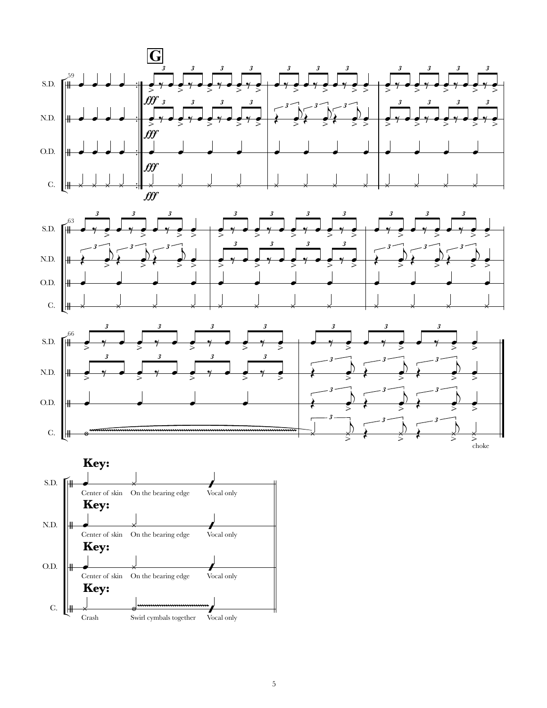





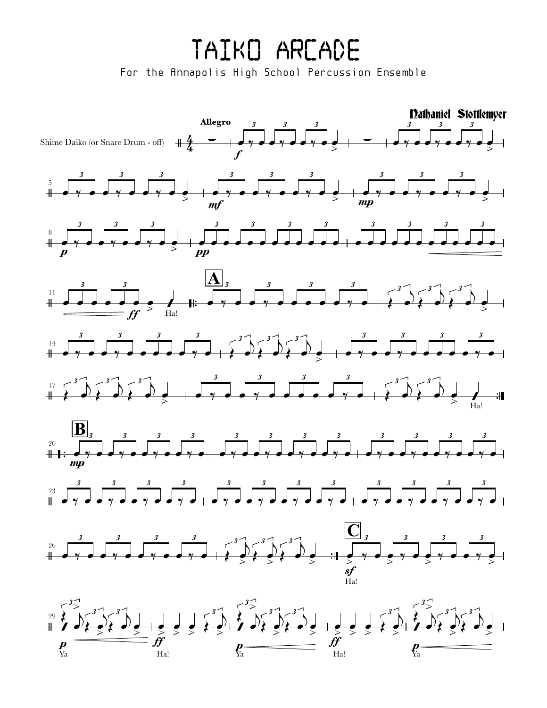*Taiko Arcade* For the Annapolis High School Percussion Ensemble

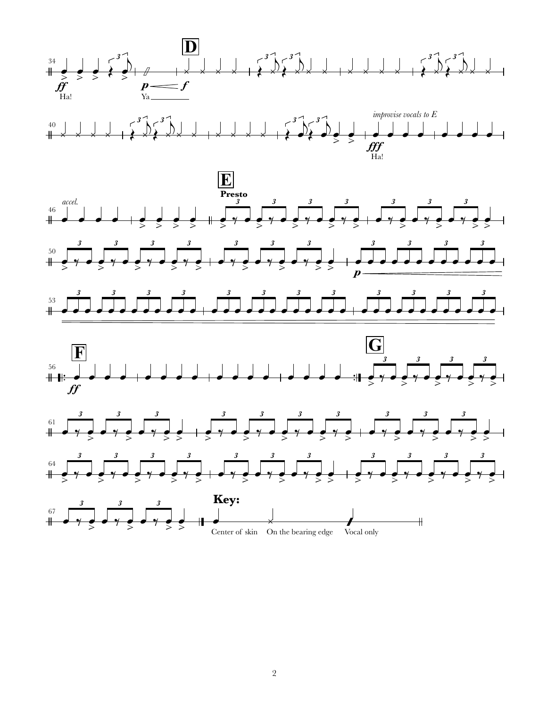

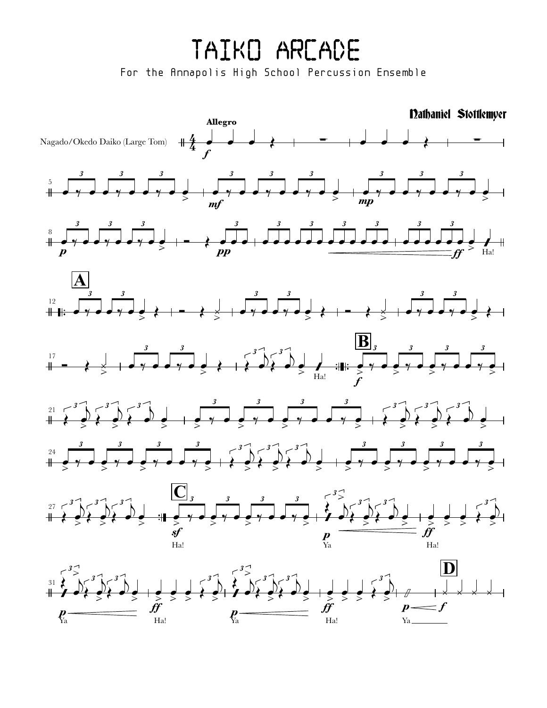*Taiko Arcade*

For the Annapolis High School Percussion Ensemble

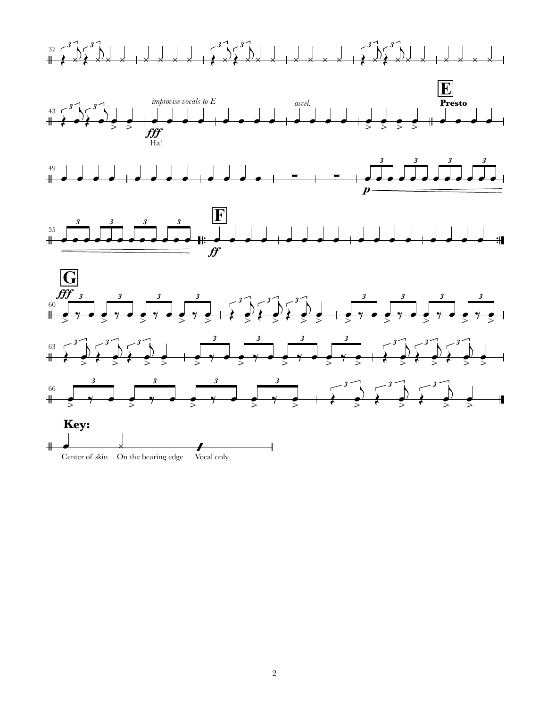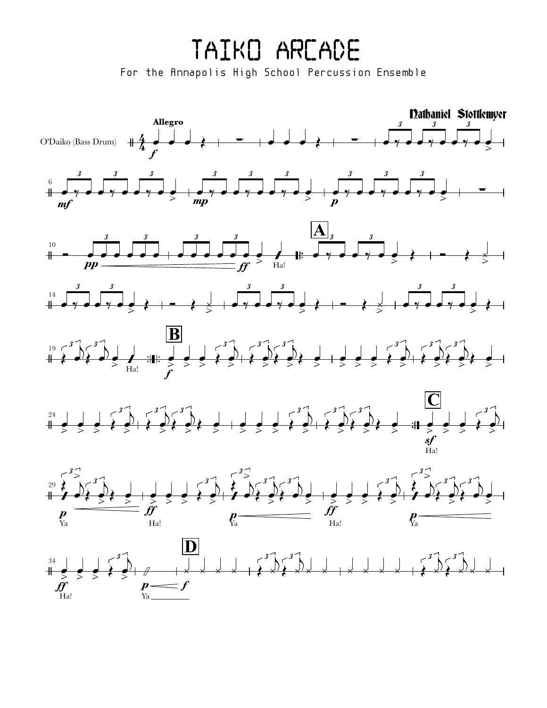*Taiko Arcade* For the Annapolis High School Percussion Ensemble

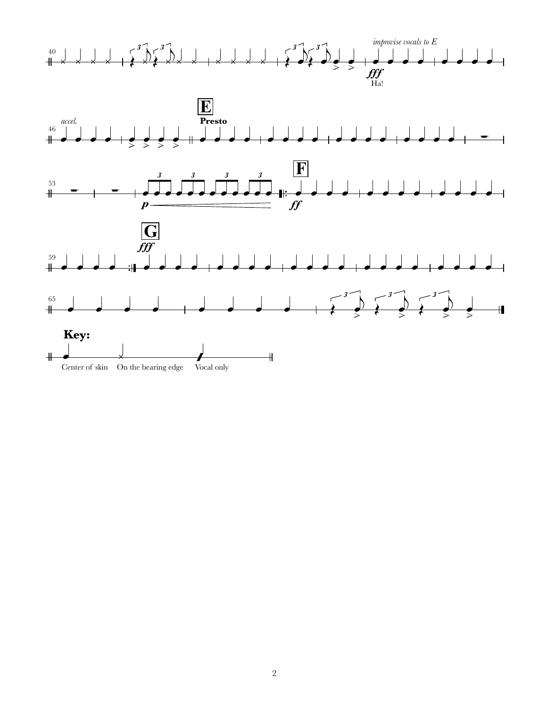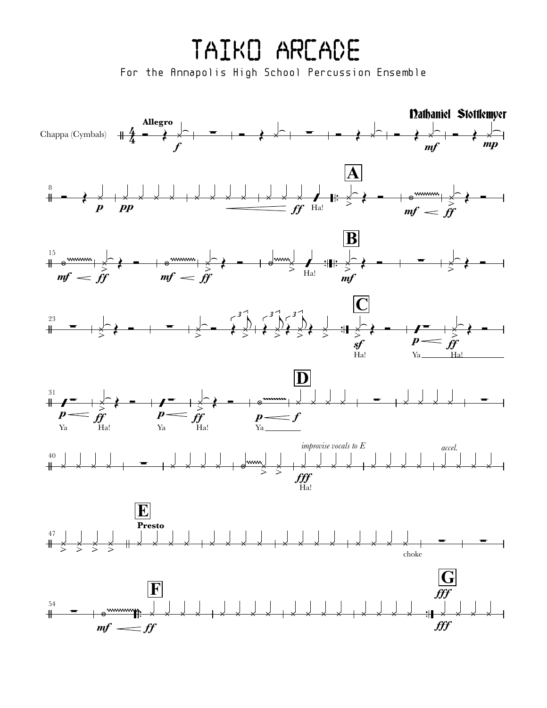TAIKO ARCADE For the Annapolis High School Percussion Ensemble